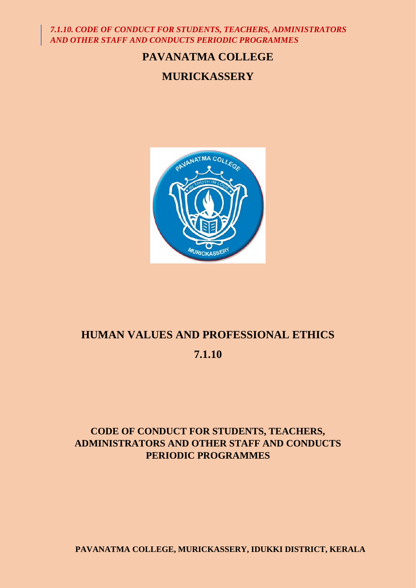# **PAVANATMA COLLEGE**

# **MURICKASSERY**



# **HUMAN VALUES AND PROFESSIONAL ETHICS**

# **7.1.10**

# **CODE OF CONDUCT FOR STUDENTS, TEACHERS, ADMINISTRATORS AND OTHER STAFF AND CONDUCTS PERIODIC PROGRAMMES**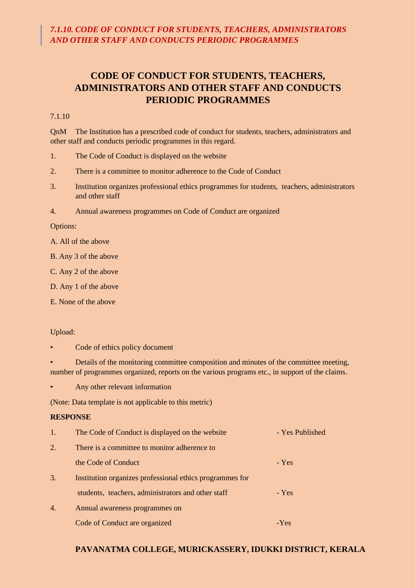#### 7.1.10

QnM The Institution has a prescribed code of conduct for students, teachers, administrators and other staff and conducts periodic programmes in this regard.

- 1. The Code of Conduct is displayed on the website
- 2. There is a committee to monitor adherence to the Code of Conduct
- 3. Institution organizes professional ethics programmes for students, teachers, administrators and other staff
- 4. Annual awareness programmes on Code of Conduct are organized

Options:

- A. All of the above
- B. Any 3 of the above
- C. Any 2 of the above
- D. Any 1 of the above
- E. None of the above

#### Upload:

- Code of ethics policy document
- Details of the monitoring committee composition and minutes of the committee meeting, number of programmes organized, reports on the various programs etc., in support of the claims.
- Any other relevant information

(Note: Data template is not applicable to this metric)

#### **RESPONSE**

| $\mathbf{1}$ .   | The Code of Conduct is displayed on the website          | - Yes Published |
|------------------|----------------------------------------------------------|-----------------|
| 2.               | There is a committee to monitor adherence to             |                 |
|                  | the Code of Conduct                                      | - Yes           |
| 3.               | Institution organizes professional ethics programmes for |                 |
|                  | students, teachers, administrators and other staff       | - Yes           |
| $\overline{4}$ . | Annual awareness programmes on                           |                 |
|                  | Code of Conduct are organized                            | $-Yes$          |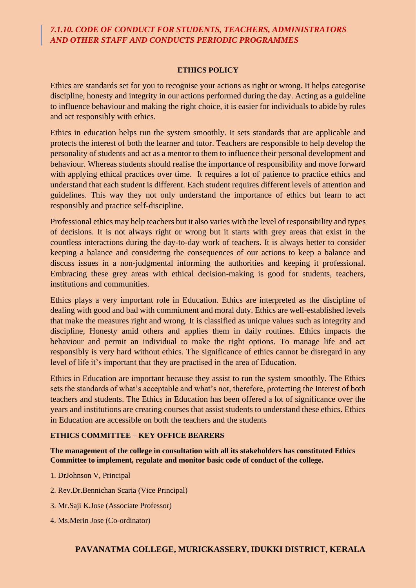#### **ETHICS POLICY**

Ethics are standards set for you to recognise your actions as right or wrong. It helps categorise discipline, honesty and integrity in our actions performed during the day. Acting as a guideline to influence behaviour and making the right choice, it is easier for individuals to abide by rules and act responsibly with ethics.

Ethics in education helps run the system smoothly. It sets standards that are applicable and protects the interest of both the learner and tutor. Teachers are responsible to help develop the personality of students and act as a mentor to them to influence their personal development and behaviour. Whereas students should realise the importance of responsibility and move forward with applying ethical practices over time. It requires a lot of patience to practice ethics and understand that each student is different. Each student requires different levels of attention and guidelines. This way they not only understand the importance of ethics but learn to act responsibly and practice self-discipline.

Professional ethics may help teachers but it also varies with the level of responsibility and types of decisions. It is not always right or wrong but it starts with grey areas that exist in the countless interactions during the day-to-day work of teachers. It is always better to consider keeping a balance and considering the consequences of our actions to keep a balance and discuss issues in a non-judgmental informing the authorities and keeping it professional. Embracing these grey areas with ethical decision-making is good for students, teachers, institutions and communities.

Ethics plays a very important role in Education. Ethics are interpreted as the discipline of dealing with good and bad with commitment and moral duty. Ethics are well-established levels that make the measures right and wrong. It is classified as unique values such as integrity and discipline, Honesty amid others and applies them in daily routines. Ethics impacts the behaviour and permit an individual to make the right options. To manage life and act responsibly is very hard without ethics. The significance of ethics cannot be disregard in any level of life it's important that they are practised in the area of Education.

Ethics in Education are important because they assist to run the system smoothly. The Ethics sets the standards of what's acceptable and what's not, therefore, protecting the Interest of both teachers and students. The Ethics in Education has been offered a lot of significance over the years and institutions are creating courses that assist students to understand these ethics. Ethics in Education are accessible on both the teachers and the students

#### **ETHICS COMMITTEE – KEY OFFICE BEARERS**

**The management of the college in consultation with all its stakeholders has constituted Ethics Committee to implement, regulate and monitor basic code of conduct of the college.**

- 1. DrJohnson V, Principal
- 2. Rev.Dr.Bennichan Scaria (Vice Principal)
- 3. Mr.Saji K.Jose (Associate Professor)
- 4. Ms.Merin Jose (Co-ordinator)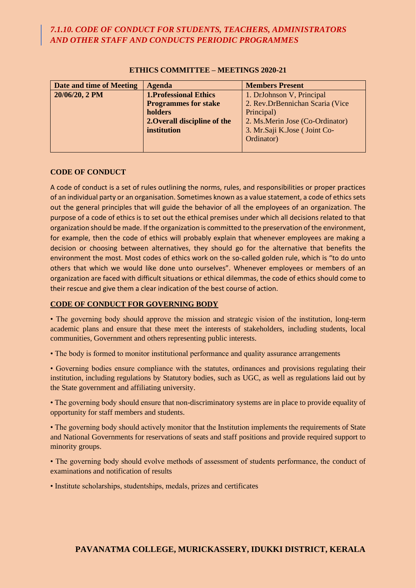| Date and time of Meeting | <b>Agenda</b>                | <b>Members Present</b>           |
|--------------------------|------------------------------|----------------------------------|
| 20/06/20, 2 PM           | <b>1.Professional Ethics</b> | 1. DrJohnson V, Principal        |
|                          | <b>Programmes for stake</b>  | 2. Rev.DrBennichan Scaria (Vice  |
|                          | holders                      | Principal)                       |
|                          | 2. Overall discipline of the | 2. Ms. Merin Jose (Co-Ordinator) |
|                          | institution                  | 3. Mr. Saji K. Jose (Joint Co-   |
|                          |                              | Ordinator)                       |
|                          |                              |                                  |

#### **ETHICS COMMITTEE – MEETINGS 2020-21**

#### **CODE OF CONDUCT**

A code of conduct is a set of rules outlining the norms, rules, and responsibilities or proper practices of an individual party or an organisation. Sometimes known as a value statement, a code of ethics sets out the general principles that will guide the behavior of all the employees of an organization. The purpose of a code of ethics is to set out the ethical premises under which all decisions related to that organization should be made. If the organization is committed to the preservation of the environment, for example, then the code of ethics will probably explain that whenever employees are making a decision or choosing between alternatives, they should go for the alternative that benefits the environment the most. Most codes of ethics work on the so-called golden rule, which is "to do unto others that which we would like done unto ourselves". Whenever employees or members of an organization are faced with difficult situations or ethical dilemmas, the code of ethics should come to their rescue and give them a clear indication of the best course of action.

#### **CODE OF CONDUCT FOR GOVERNING BODY**

• The governing body should approve the mission and strategic vision of the institution, long-term academic plans and ensure that these meet the interests of stakeholders, including students, local communities, Government and others representing public interests.

• The body is formed to monitor institutional performance and quality assurance arrangements

• Governing bodies ensure compliance with the statutes, ordinances and provisions regulating their institution, including regulations by Statutory bodies, such as UGC, as well as regulations laid out by the State government and affiliating university.

• The governing body should ensure that non-discriminatory systems are in place to provide equality of opportunity for staff members and students.

• The governing body should actively monitor that the Institution implements the requirements of State and National Governments for reservations of seats and staff positions and provide required support to minority groups.

• The governing body should evolve methods of assessment of students performance, the conduct of examinations and notification of results

• Institute scholarships, studentships, medals, prizes and certificates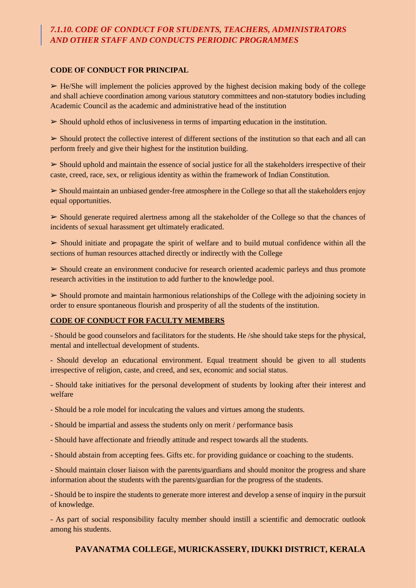#### **CODE OF CONDUCT FOR PRINCIPAL**

 $\triangleright$  He/She will implement the policies approved by the highest decision making body of the college and shall achieve coordination among various statutory committees and non-statutory bodies including Academic Council as the academic and administrative head of the institution

➢ Should uphold ethos of inclusiveness in terms of imparting education in the institution.

➢ Should protect the collective interest of different sections of the institution so that each and all can perform freely and give their highest for the institution building.

 $\triangleright$  Should uphold and maintain the essence of social justice for all the stakeholders irrespective of their caste, creed, race, sex, or religious identity as within the framework of Indian Constitution.

➢ Should maintain an unbiased gender-free atmosphere in the College so that all the stakeholders enjoy equal opportunities.

➢ Should generate required alertness among all the stakeholder of the College so that the chances of incidents of sexual harassment get ultimately eradicated.

 $\geq$  Should initiate and propagate the spirit of welfare and to build mutual confidence within all the sections of human resources attached directly or indirectly with the College

 $\triangleright$  Should create an environment conducive for research oriented academic parleys and thus promote research activities in the institution to add further to the knowledge pool.

 $\triangleright$  Should promote and maintain harmonious relationships of the College with the adjoining society in order to ensure spontaneous flourish and prosperity of all the students of the institution.

#### **CODE OF CONDUCT FOR FACULTY MEMBERS**

- Should be good counselors and facilitators for the students. He /she should take steps for the physical, mental and intellectual development of students.

- Should develop an educational environment. Equal treatment should be given to all students irrespective of religion, caste, and creed, and sex, economic and social status.

- Should take initiatives for the personal development of students by looking after their interest and welfare

- Should be a role model for inculcating the values and virtues among the students.

- Should be impartial and assess the students only on merit / performance basis
- Should have affectionate and friendly attitude and respect towards all the students.

- Should abstain from accepting fees. Gifts etc. for providing guidance or coaching to the students.

- Should maintain closer liaison with the parents/guardians and should monitor the progress and share information about the students with the parents/guardian for the progress of the students.

- Should be to inspire the students to generate more interest and develop a sense of inquiry in the pursuit of knowledge.

- As part of social responsibility faculty member should instill a scientific and democratic outlook among his students.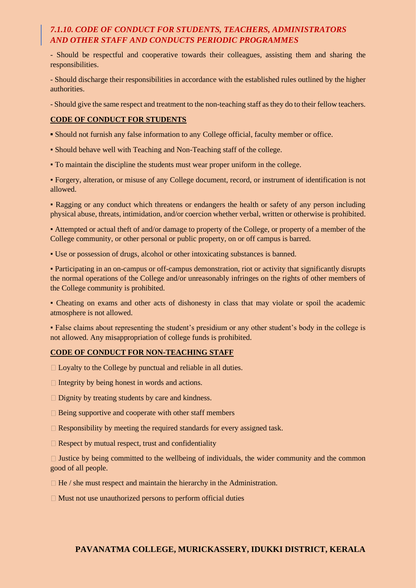- Should be respectful and cooperative towards their colleagues, assisting them and sharing the responsibilities.

- Should discharge their responsibilities in accordance with the established rules outlined by the higher authorities.

- Should give the same respect and treatment to the non-teaching staff as they do to their fellow teachers.

#### **CODE OF CONDUCT FOR STUDENTS**

- **▪** Should not furnish any false information to any College official, faculty member or office.
- Should behave well with Teaching and Non-Teaching staff of the college.
- To maintain the discipline the students must wear proper uniform in the college.

▪ Forgery, alteration, or misuse of any College document, record, or instrument of identification is not allowed.

▪ Ragging or any conduct which threatens or endangers the health or safety of any person including physical abuse, threats, intimidation, and/or coercion whether verbal, written or otherwise is prohibited.

▪ Attempted or actual theft of and/or damage to property of the College, or property of a member of the College community, or other personal or public property, on or off campus is barred.

▪ Use or possession of drugs, alcohol or other intoxicating substances is banned.

▪ Participating in an on-campus or off-campus demonstration, riot or activity that significantly disrupts the normal operations of the College and/or unreasonably infringes on the rights of other members of the College community is prohibited.

▪ Cheating on exams and other acts of dishonesty in class that may violate or spoil the academic atmosphere is not allowed.

▪ False claims about representing the student's presidium or any other student's body in the college is not allowed. Any misappropriation of college funds is prohibited.

#### **CODE OF CONDUCT FOR NON-TEACHING STAFF**

□ Loyalty to the College by punctual and reliable in all duties.

- $\Box$  Integrity by being honest in words and actions.
- $\Box$  Dignity by treating students by care and kindness.
- $\Box$  Being supportive and cooperate with other staff members
- $\Box$  Responsibility by meeting the required standards for every assigned task.
- $\Box$  Respect by mutual respect, trust and confidentiality

 $\Box$  Justice by being committed to the wellbeing of individuals, the wider community and the common good of all people.

- $\Box$  He / she must respect and maintain the hierarchy in the Administration.
- $\Box$  Must not use unauthorized persons to perform official duties